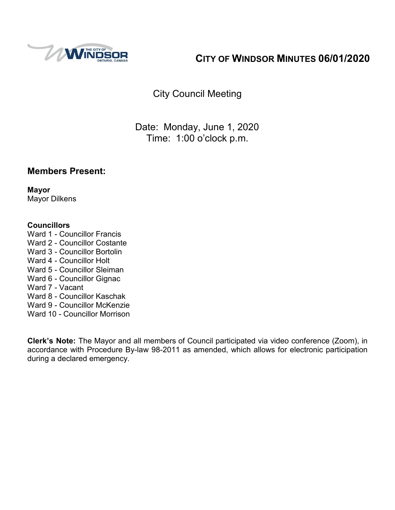

# **CITY OF WINDSOR MINUTES 06/01/2020**

City Council Meeting

Date: Monday, June 1, 2020 Time: 1:00 o'clock p.m.

### **Members Present:**

**Mayor** Mayor Dilkens

#### **Councillors**

- Ward 1 Councillor Francis
- Ward 2 Councillor Costante
- Ward 3 Councillor Bortolin
- Ward 4 Councillor Holt
- Ward 5 Councillor Sleiman
- Ward 6 Councillor Gignac
- Ward 7 Vacant
- Ward 8 Councillor Kaschak
- Ward 9 Councillor McKenzie
- Ward 10 Councillor Morrison

**Clerk's Note:** The Mayor and all members of Council participated via video conference (Zoom), in accordance with Procedure By-law 98-2011 as amended, which allows for electronic participation during a declared emergency.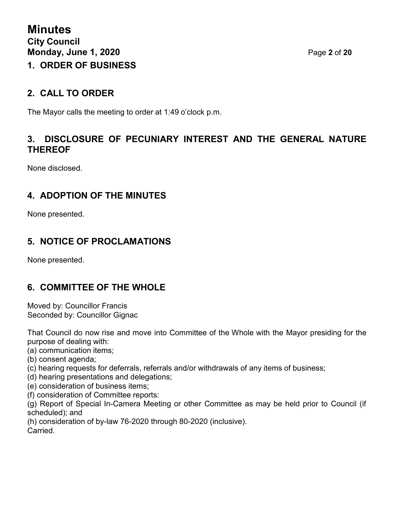### **2. CALL TO ORDER**

The Mayor calls the meeting to order at 1:49 o'clock p.m.

### **3. DISCLOSURE OF PECUNIARY INTEREST AND THE GENERAL NATURE THEREOF**

None disclosed.

### **4. ADOPTION OF THE MINUTES**

None presented.

# **5. NOTICE OF PROCLAMATIONS**

None presented.

### **6. COMMITTEE OF THE WHOLE**

Moved by: Councillor Francis Seconded by: Councillor Gignac

That Council do now rise and move into Committee of the Whole with the Mayor presiding for the purpose of dealing with:

(a) communication items;

- (b) consent agenda;
- (c) hearing requests for deferrals, referrals and/or withdrawals of any items of business;
- (d) hearing presentations and delegations;
- (e) consideration of business items;
- (f) consideration of Committee reports:

(g) Report of Special In-Camera Meeting or other Committee as may be held prior to Council (if scheduled); and

(h) consideration of by-law 76-2020 through 80-2020 (inclusive).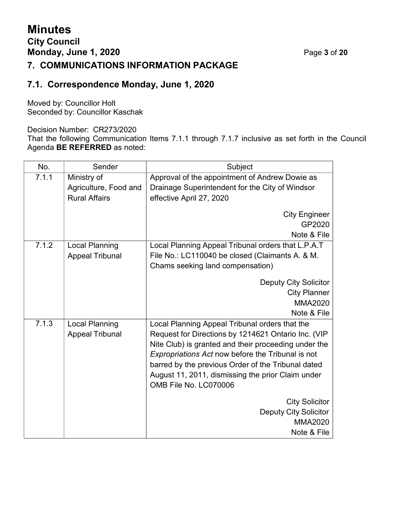# **Minutes City Council Monday, June 1, 2020** Page **3** of **20**

### **7. COMMUNICATIONS INFORMATION PACKAGE**

### **7.1. Correspondence Monday, June 1, 2020**

Moved by: Councillor Holt Seconded by: Councillor Kaschak

Decision Number: CR273/2020

That the following Communication Items 7.1.1 through 7.1.7 inclusive as set forth in the Council Agenda **BE REFERRED** as noted:

| No.   | Sender                                        | Subject                                              |  |
|-------|-----------------------------------------------|------------------------------------------------------|--|
| 7.1.1 | Ministry of                                   | Approval of the appointment of Andrew Dowie as       |  |
|       | Agriculture, Food and<br><b>Rural Affairs</b> | Drainage Superintendent for the City of Windsor      |  |
|       |                                               | effective April 27, 2020                             |  |
|       |                                               | <b>City Engineer</b>                                 |  |
|       |                                               | GP2020                                               |  |
|       |                                               | Note & File                                          |  |
| 7.1.2 | <b>Local Planning</b>                         | Local Planning Appeal Tribunal orders that L.P.A.T   |  |
|       | <b>Appeal Tribunal</b>                        | File No.: LC110040 be closed (Claimants A. & M.      |  |
|       |                                               | Chams seeking land compensation)                     |  |
|       |                                               | <b>Deputy City Solicitor</b>                         |  |
|       |                                               | <b>City Planner</b>                                  |  |
|       |                                               | <b>MMA2020</b>                                       |  |
|       |                                               | Note & File                                          |  |
| 7.1.3 | <b>Local Planning</b>                         | Local Planning Appeal Tribunal orders that the       |  |
|       | <b>Appeal Tribunal</b>                        | Request for Directions by 1214621 Ontario Inc. (VIP  |  |
|       |                                               | Nite Club) is granted and their proceeding under the |  |
|       |                                               | Expropriations Act now before the Tribunal is not    |  |
|       |                                               | barred by the previous Order of the Tribunal dated   |  |
|       |                                               | August 11, 2011, dismissing the prior Claim under    |  |
|       |                                               | OMB File No. LC070006                                |  |
|       |                                               | <b>City Solicitor</b>                                |  |
|       |                                               | <b>Deputy City Solicitor</b>                         |  |
|       |                                               | <b>MMA2020</b>                                       |  |
|       |                                               | Note & File                                          |  |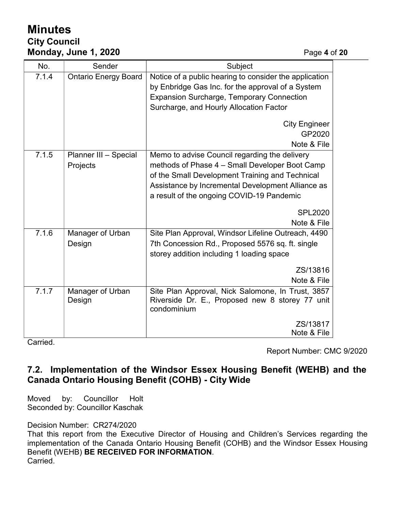# **Minutes City Council Monday, June 1, 2020** Page **4** of **20**

| No.   | Sender                            | Subject                                                                                                                                                                                                                                              |  |
|-------|-----------------------------------|------------------------------------------------------------------------------------------------------------------------------------------------------------------------------------------------------------------------------------------------------|--|
| 7.1.4 | <b>Ontario Energy Board</b>       | Notice of a public hearing to consider the application<br>by Enbridge Gas Inc. for the approval of a System<br><b>Expansion Surcharge, Temporary Connection</b><br>Surcharge, and Hourly Allocation Factor                                           |  |
|       |                                   | <b>City Engineer</b><br>GP2020<br>Note & File                                                                                                                                                                                                        |  |
| 7.1.5 | Planner III - Special<br>Projects | Memo to advise Council regarding the delivery<br>methods of Phase 4 - Small Developer Boot Camp<br>of the Small Development Training and Technical<br>Assistance by Incremental Development Alliance as<br>a result of the ongoing COVID-19 Pandemic |  |
|       |                                   | <b>SPL2020</b><br>Note & File                                                                                                                                                                                                                        |  |
| 7.1.6 | Manager of Urban<br>Design        | Site Plan Approval, Windsor Lifeline Outreach, 4490<br>7th Concession Rd., Proposed 5576 sq. ft. single<br>storey addition including 1 loading space                                                                                                 |  |
|       |                                   | ZS/13816<br>Note & File                                                                                                                                                                                                                              |  |
| 7.1.7 | Manager of Urban<br>Design        | Site Plan Approval, Nick Salomone, In Trust, 3857<br>Riverside Dr. E., Proposed new 8 storey 77 unit<br>condominium                                                                                                                                  |  |
|       |                                   | ZS/13817<br>Note & File                                                                                                                                                                                                                              |  |

Carried.

Report Number: CMC 9/2020

### **7.2. Implementation of the Windsor Essex Housing Benefit (WEHB) and the Canada Ontario Housing Benefit (COHB) - City Wide**

Moved by: Councillor Holt Seconded by: Councillor Kaschak

Decision Number: CR274/2020

That this report from the Executive Director of Housing and Children's Services regarding the implementation of the Canada Ontario Housing Benefit (COHB) and the Windsor Essex Housing Benefit (WEHB) **BE RECEIVED FOR INFORMATION**. Carried.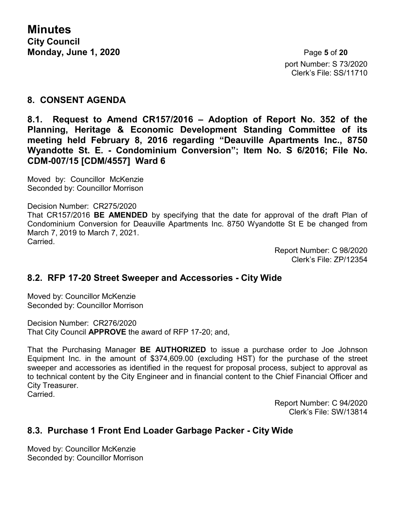**Minutes City Council Monday, June 1, 2020** Page **5** of **20**

port Number: S 73/2020 Clerk's File: SS/11710

#### **8. CONSENT AGENDA**

**8.1. Request to Amend CR157/2016 – Adoption of Report No. 352 of the Planning, Heritage & Economic Development Standing Committee of its meeting held February 8, 2016 regarding "Deauville Apartments Inc., 8750 Wyandotte St. E. - Condominium Conversion"; Item No. S 6/2016; File No. CDM-007/15 [CDM/4557] Ward 6**

Moved by: Councillor McKenzie Seconded by: Councillor Morrison

Decision Number: CR275/2020 That CR157/2016 **BE AMENDED** by specifying that the date for approval of the draft Plan of Condominium Conversion for Deauville Apartments Inc. 8750 Wyandotte St E be changed from March 7, 2019 to March 7, 2021. Carried.

Report Number: C 98/2020 Clerk's File: ZP/12354

#### **8.2. RFP 17-20 Street Sweeper and Accessories - City Wide**

Moved by: Councillor McKenzie Seconded by: Councillor Morrison

Decision Number: CR276/2020 That City Council **APPROVE** the award of RFP 17-20; and,

That the Purchasing Manager **BE AUTHORIZED** to issue a purchase order to Joe Johnson Equipment Inc. in the amount of \$374,609.00 (excluding HST) for the purchase of the street sweeper and accessories as identified in the request for proposal process, subject to approval as to technical content by the City Engineer and in financial content to the Chief Financial Officer and City Treasurer.

Carried.

Report Number: C 94/2020 Clerk's File: SW/13814

#### **8.3. Purchase 1 Front End Loader Garbage Packer - City Wide**

Moved by: Councillor McKenzie Seconded by: Councillor Morrison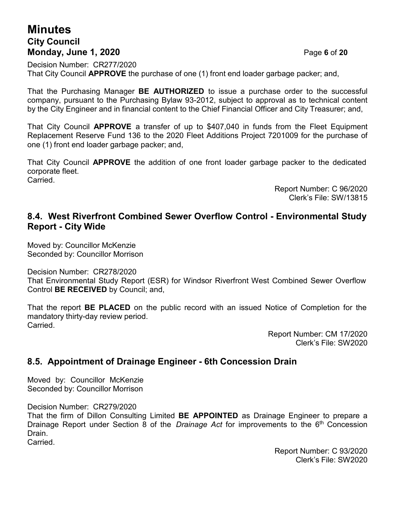## **Minutes City Council Monday, June 1, 2020** Page **6** of **20**

Decision Number: CR277/2020 That City Council **APPROVE** the purchase of one (1) front end loader garbage packer; and,

That the Purchasing Manager **BE AUTHORIZED** to issue a purchase order to the successful company, pursuant to the Purchasing Bylaw 93-2012, subject to approval as to technical content by the City Engineer and in financial content to the Chief Financial Officer and City Treasurer; and,

That City Council **APPROVE** a transfer of up to \$407,040 in funds from the Fleet Equipment Replacement Reserve Fund 136 to the 2020 Fleet Additions Project 7201009 for the purchase of one (1) front end loader garbage packer; and,

That City Council **APPROVE** the addition of one front loader garbage packer to the dedicated corporate fleet. Carried.

> Report Number: C 96/2020 Clerk's File: SW/13815

#### **8.4. West Riverfront Combined Sewer Overflow Control - Environmental Study Report - City Wide**

Moved by: Councillor McKenzie Seconded by: Councillor Morrison

Decision Number: CR278/2020

That Environmental Study Report (ESR) for Windsor Riverfront West Combined Sewer Overflow Control **BE RECEIVED** by Council; and,

That the report **BE PLACED** on the public record with an issued Notice of Completion for the mandatory thirty-day review period. Carried.

> Report Number: CM 17/2020 Clerk's File: SW2020

#### **8.5. Appointment of Drainage Engineer - 6th Concession Drain**

Moved by: Councillor McKenzie Seconded by: Councillor Morrison

Decision Number: CR279/2020

That the firm of Dillon Consulting Limited **BE APPOINTED** as Drainage Engineer to prepare a Drainage Report under Section 8 of the *Drainage Act* for improvements to the 6th Concession Drain.

Carried.

Report Number: C 93/2020 Clerk's File: SW2020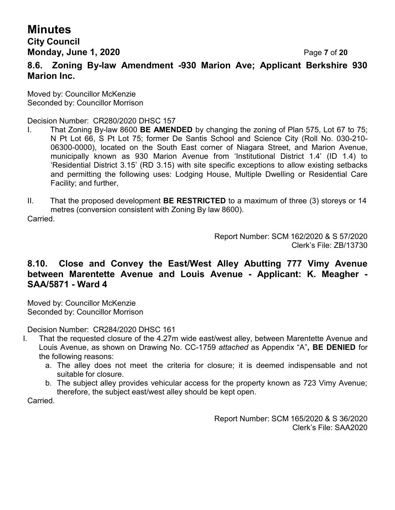### **City Council Monday, June 1, 2020** Page **7** of **20**

#### **8.6. Zoning By-law Amendment -930 Marion Ave; Applicant Berkshire 930 Marion Inc.**

Moved by: Councillor McKenzie Seconded by: Councillor Morrison

Decision Number: CR280/2020 DHSC 157

- I. That Zoning By-law 8600 **BE AMENDED** by changing the zoning of Plan 575, Lot 67 to 75; N Pt Lot 66, S Pt Lot 75; former De Santis School and Science City (Roll No. 030-210- 06300-0000), located on the South East corner of Niagara Street, and Marion Avenue, municipally known as 930 Marion Avenue from 'Institutional District 1.4' (ID 1.4) to 'Residential District 3.15' (RD 3.15) with site specific exceptions to allow existing setbacks and permitting the following uses: Lodging House, Multiple Dwelling or Residential Care Facility; and further,
- II. That the proposed development **BE RESTRICTED** to a maximum of three (3) storeys or 14 metres (conversion consistent with Zoning By law 8600).

Carried.

Report Number: SCM 162/2020 & S 57/2020 Clerk's File: ZB/13730

### **8.10. Close and Convey the East/West Alley Abutting 777 Vimy Avenue between Marentette Avenue and Louis Avenue - Applicant: K. Meagher - SAA/5871 - Ward 4**

Moved by: Councillor McKenzie Seconded by: Councillor Morrison

Decision Number: CR284/2020 DHSC 161

- I. That the requested closure of the 4.27m wide east/west alley, between Marentette Avenue and Louis Avenue, as shown on Drawing No. CC-1759 *attached* as Appendix "A"**, BE DENIED** for the following reasons:
	- a. The alley does not meet the criteria for closure; it is deemed indispensable and not suitable for closure.
	- b. The subject alley provides vehicular access for the property known as 723 Vimy Avenue; therefore, the subject east/west alley should be kept open.

Carried.

Report Number: SCM 165/2020 & S 36/2020 Clerk's File: SAA2020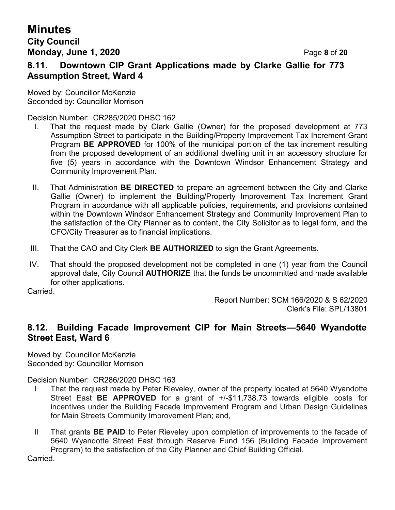### **Minutes City Council Monday, June 1, 2020** Page **8** of **20**

### **8.11. Downtown CIP Grant Applications made by Clarke Gallie for 773 Assumption Street, Ward 4**

Moved by: Councillor McKenzie Seconded by: Councillor Morrison

Decision Number: CR285/2020 DHSC 162

- I. That the request made by Clark Gallie (Owner) for the proposed development at 773 Assumption Street to participate in the Building/Property Improvement Tax Increment Grant Program **BE APPROVED** for 100% of the municipal portion of the tax increment resulting from the proposed development of an additional dwelling unit in an accessory structure for five (5) years in accordance with the Downtown Windsor Enhancement Strategy and Community Improvement Plan.
- II. That Administration **BE DIRECTED** to prepare an agreement between the City and Clarke Gallie (Owner) to implement the Building/Property Improvement Tax Increment Grant Program in accordance with all applicable policies, requirements, and provisions contained within the Downtown Windsor Enhancement Strategy and Community Improvement Plan to the satisfaction of the City Planner as to content, the City Solicitor as to legal form, and the CFO/City Treasurer as to financial implications.
- III. That the CAO and City Clerk **BE AUTHORIZED** to sign the Grant Agreements.
- IV. That should the proposed development not be completed in one (1) year from the Council approval date, City Council **AUTHORIZE** that the funds be uncommitted and made available for other applications.

Carried.

Report Number: SCM 166/2020 & S 62/2020 Clerk's File: SPL/13801

### **8.12. Building Facade Improvement CIP for Main Streets—5640 Wyandotte Street East, Ward 6**

Moved by: Councillor McKenzie Seconded by: Councillor Morrison

Decision Number: CR286/2020 DHSC 163

- I That the request made by Peter Rieveley, owner of the property located at 5640 Wyandotte Street East **BE APPROVED** for a grant of +/-\$11,738.73 towards eligible costs for incentives under the Building Facade Improvement Program and Urban Design Guidelines for Main Streets Community Improvement Plan; and,
- II That grants **BE PAID** to Peter Rieveley upon completion of improvements to the facade of 5640 Wyandotte Street East through Reserve Fund 156 (Building Facade Improvement Program) to the satisfaction of the City Planner and Chief Building Official.

Carried.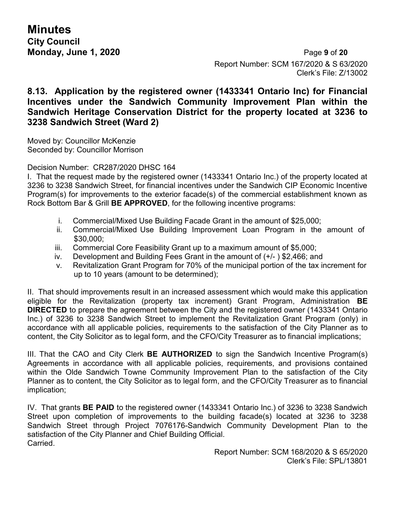**Minutes City Council**

**Monday, June 1, 2020** Page **9** of **20** Report Number: SCM 167/2020 & S 63/2020 Clerk's File: Z/13002

### **8.13. Application by the registered owner (1433341 Ontario Inc) for Financial Incentives under the Sandwich Community Improvement Plan within the Sandwich Heritage Conservation District for the property located at 3236 to 3238 Sandwich Street (Ward 2)**

Moved by: Councillor McKenzie Seconded by: Councillor Morrison

Decision Number: CR287/2020 DHSC 164

I. That the request made by the registered owner (1433341 Ontario Inc.) of the property located at 3236 to 3238 Sandwich Street, for financial incentives under the Sandwich CIP Economic Incentive Program(s) for improvements to the exterior facade(s) of the commercial establishment known as Rock Bottom Bar & Grill **BE APPROVED**, for the following incentive programs:

- i. Commercial/Mixed Use Building Facade Grant in the amount of \$25,000;
- ii. Commercial/Mixed Use Building Improvement Loan Program in the amount of \$30,000;
- iii. Commercial Core Feasibility Grant up to a maximum amount of \$5,000;
- iv. Development and Building Fees Grant in the amount of (+/- ) \$2,466; and
- v. Revitalization Grant Program for 70% of the municipal portion of the tax increment for up to 10 years (amount to be determined);

II. That should improvements result in an increased assessment which would make this application eligible for the Revitalization (property tax increment) Grant Program, Administration **BE DIRECTED** to prepare the agreement between the City and the registered owner (1433341 Ontario Inc.) of 3236 to 3238 Sandwich Street to implement the Revitalization Grant Program (only) in accordance with all applicable policies, requirements to the satisfaction of the City Planner as to content, the City Solicitor as to legal form, and the CFO/City Treasurer as to financial implications;

III. That the CAO and City Clerk **BE AUTHORIZED** to sign the Sandwich Incentive Program(s) Agreements in accordance with all applicable policies, requirements, and provisions contained within the Olde Sandwich Towne Community Improvement Plan to the satisfaction of the City Planner as to content, the City Solicitor as to legal form, and the CFO/City Treasurer as to financial implication;

IV. That grants **BE PAID** to the registered owner (1433341 Ontario Inc.) of 3236 to 3238 Sandwich Street upon completion of improvements to the building facade(s) located at 3236 to 3238 Sandwich Street through Project 7076176-Sandwich Community Development Plan to the satisfaction of the City Planner and Chief Building Official. Carried.

> Report Number: SCM 168/2020 & S 65/2020 Clerk's File: SPL/13801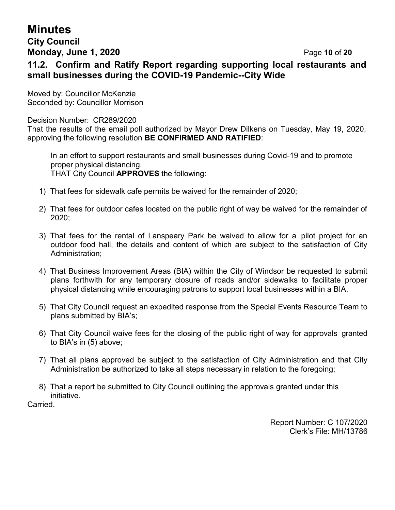### **City Council Monday, June 1, 2020** Page **10** of **20**

### **11.2. Confirm and Ratify Report regarding supporting local restaurants and small businesses during the COVID-19 Pandemic--City Wide**

Moved by: Councillor McKenzie Seconded by: Councillor Morrison

#### Decision Number: CR289/2020

That the results of the email poll authorized by Mayor Drew Dilkens on Tuesday, May 19, 2020, approving the following resolution **BE CONFIRMED AND RATIFIED**:

In an effort to support restaurants and small businesses during Covid-19 and to promote proper physical distancing, THAT City Council **APPROVES** the following:

- 1) That fees for sidewalk cafe permits be waived for the remainder of 2020;
- 2) That fees for outdoor cafes located on the public right of way be waived for the remainder of 2020;
- 3) That fees for the rental of Lanspeary Park be waived to allow for a pilot project for an outdoor food hall, the details and content of which are subject to the satisfaction of City Administration;
- 4) That Business Improvement Areas (BIA) within the City of Windsor be requested to submit plans forthwith for any temporary closure of roads and/or sidewalks to facilitate proper physical distancing while encouraging patrons to support local businesses within a BIA.
- 5) That City Council request an expedited response from the Special Events Resource Team to plans submitted by BIA's;
- 6) That City Council waive fees for the closing of the public right of way for approvals granted to BIA's in (5) above;
- 7) That all plans approved be subject to the satisfaction of City Administration and that City Administration be authorized to take all steps necessary in relation to the foregoing;
- 8) That a report be submitted to City Council outlining the approvals granted under this initiative.

Carried.

Report Number: C 107/2020 Clerk's File: MH/13786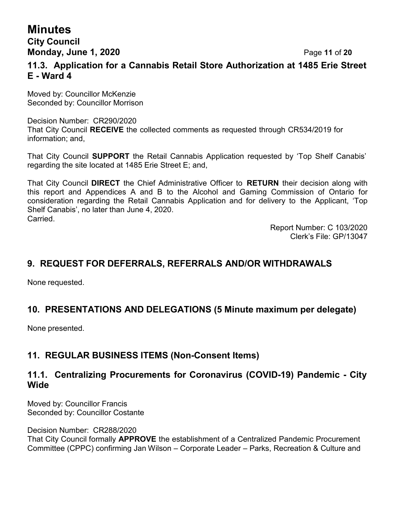### **Minutes City Council**

**Monday, June 1, 2020** Page **11** of **20**

### **11.3. Application for a Cannabis Retail Store Authorization at 1485 Erie Street E - Ward 4**

Moved by: Councillor McKenzie Seconded by: Councillor Morrison

Decision Number: CR290/2020 That City Council **RECEIVE** the collected comments as requested through CR534/2019 for information; and,

That City Council **SUPPORT** the Retail Cannabis Application requested by 'Top Shelf Canabis' regarding the site located at 1485 Erie Street E; and,

That City Council **DIRECT** the Chief Administrative Officer to **RETURN** their decision along with this report and Appendices A and B to the Alcohol and Gaming Commission of Ontario for consideration regarding the Retail Cannabis Application and for delivery to the Applicant, 'Top Shelf Canabis', no later than June 4, 2020. **Carried** 

> Report Number: C 103/2020 Clerk's File: GP/13047

### **9. REQUEST FOR DEFERRALS, REFERRALS AND/OR WITHDRAWALS**

None requested.

### **10. PRESENTATIONS AND DELEGATIONS (5 Minute maximum per delegate)**

None presented.

### **11. REGULAR BUSINESS ITEMS (Non-Consent Items)**

### **11.1. Centralizing Procurements for Coronavirus (COVID-19) Pandemic - City Wide**

Moved by: Councillor Francis Seconded by: Councillor Costante

Decision Number: CR288/2020

That City Council formally **APPROVE** the establishment of a Centralized Pandemic Procurement Committee (CPPC) confirming Jan Wilson – Corporate Leader – Parks, Recreation & Culture and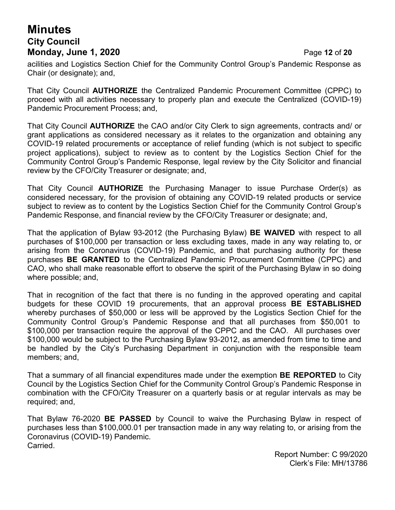# **Minutes City Council Monday, June 1, 2020** Page **12** of **20**

acilities and Logistics Section Chief for the Community Control Group's Pandemic Response as Chair (or designate); and,

That City Council **AUTHORIZE** the Centralized Pandemic Procurement Committee (CPPC) to proceed with all activities necessary to properly plan and execute the Centralized (COVID-19) Pandemic Procurement Process; and,

That City Council **AUTHORIZE** the CAO and/or City Clerk to sign agreements, contracts and/ or grant applications as considered necessary as it relates to the organization and obtaining any COVID-19 related procurements or acceptance of relief funding (which is not subject to specific project applications), subject to review as to content by the Logistics Section Chief for the Community Control Group's Pandemic Response, legal review by the City Solicitor and financial review by the CFO/City Treasurer or designate; and,

That City Council **AUTHORIZE** the Purchasing Manager to issue Purchase Order(s) as considered necessary, for the provision of obtaining any COVID-19 related products or service subject to review as to content by the Logistics Section Chief for the Community Control Group's Pandemic Response, and financial review by the CFO/City Treasurer or designate; and,

That the application of Bylaw 93-2012 (the Purchasing Bylaw) **BE WAIVED** with respect to all purchases of \$100,000 per transaction or less excluding taxes, made in any way relating to, or arising from the Coronavirus (COVID-19) Pandemic, and that purchasing authority for these purchases **BE GRANTED** to the Centralized Pandemic Procurement Committee (CPPC) and CAO, who shall make reasonable effort to observe the spirit of the Purchasing Bylaw in so doing where possible; and,

That in recognition of the fact that there is no funding in the approved operating and capital budgets for these COVID 19 procurements, that an approval process **BE ESTABLISHED** whereby purchases of \$50,000 or less will be approved by the Logistics Section Chief for the Community Control Group's Pandemic Response and that all purchases from \$50,001 to \$100,000 per transaction require the approval of the CPPC and the CAO. All purchases over \$100,000 would be subject to the Purchasing Bylaw 93-2012, as amended from time to time and be handled by the City's Purchasing Department in conjunction with the responsible team members; and,

That a summary of all financial expenditures made under the exemption **BE REPORTED** to City Council by the Logistics Section Chief for the Community Control Group's Pandemic Response in combination with the CFO/City Treasurer on a quarterly basis or at regular intervals as may be required; and,

That Bylaw 76-2020 **BE PASSED** by Council to waive the Purchasing Bylaw in respect of purchases less than \$100,000.01 per transaction made in any way relating to, or arising from the Coronavirus (COVID-19) Pandemic. Carried.

> Report Number: C 99/2020 Clerk's File: MH/13786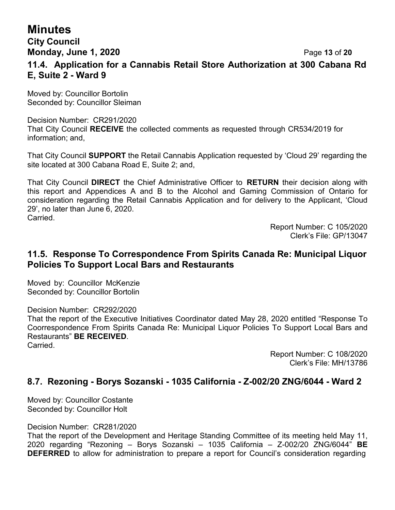# **City Council Monday, June 1, 2020** Page **13** of **20**

#### **11.4. Application for a Cannabis Retail Store Authorization at 300 Cabana Rd E, Suite 2 - Ward 9**

Moved by: Councillor Bortolin Seconded by: Councillor Sleiman

#### Decision Number: CR291/2020 That City Council **RECEIVE** the collected comments as requested through CR534/2019 for information; and,

That City Council **SUPPORT** the Retail Cannabis Application requested by 'Cloud 29' regarding the site located at 300 Cabana Road E, Suite 2; and,

That City Council **DIRECT** the Chief Administrative Officer to **RETURN** their decision along with this report and Appendices A and B to the Alcohol and Gaming Commission of Ontario for consideration regarding the Retail Cannabis Application and for delivery to the Applicant, 'Cloud 29', no later than June 6, 2020.

Carried.

Report Number: C 105/2020 Clerk's File: GP/13047

#### **11.5. Response To Correspondence From Spirits Canada Re: Municipal Liquor Policies To Support Local Bars and Restaurants**

Moved by: Councillor McKenzie Seconded by: Councillor Bortolin

Decision Number: CR292/2020

That the report of the Executive Initiatives Coordinator dated May 28, 2020 entitled "Response To Coorrespondence From Spirits Canada Re: Municipal Liquor Policies To Support Local Bars and Restaurants" **BE RECEIVED**.

**Carried** 

Report Number: C 108/2020 Clerk's File: MH/13786

### **8.7. Rezoning - Borys Sozanski - 1035 California - Z-002/20 ZNG/6044 - Ward 2**

Moved by: Councillor Costante Seconded by: Councillor Holt

Decision Number: CR281/2020

That the report of the Development and Heritage Standing Committee of its meeting held May 11, 2020 regarding "Rezoning – Borys Sozanski – 1035 California – Z-002/20 ZNG/6044" **BE DEFERRED** to allow for administration to prepare a report for Council's consideration regarding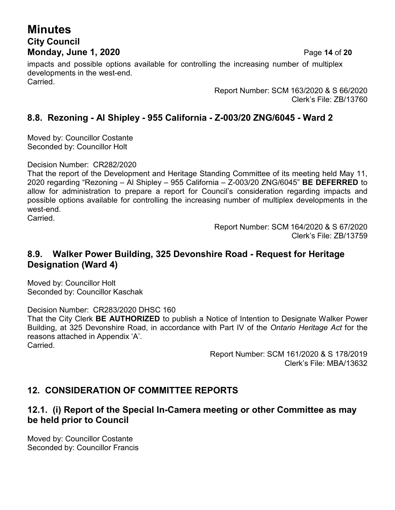# **Minutes City Council Monday, June 1, 2020** Page **14** of **20**

impacts and possible options available for controlling the increasing number of multiplex developments in the west-end. Carried.

> Report Number: SCM 163/2020 & S 66/2020 Clerk's File: ZB/13760

## **8.8. Rezoning - Al Shipley - 955 California - Z-003/20 ZNG/6045 - Ward 2**

Moved by: Councillor Costante Seconded by: Councillor Holt

Decision Number: CR282/2020

That the report of the Development and Heritage Standing Committee of its meeting held May 11, 2020 regarding "Rezoning – Al Shipley – 955 California – Z-003/20 ZNG/6045" **BE DEFERRED** to allow for administration to prepare a report for Council's consideration regarding impacts and possible options available for controlling the increasing number of multiplex developments in the west-end.

**Carried** 

Report Number: SCM 164/2020 & S 67/2020 Clerk's File: ZB/13759

### **8.9. Walker Power Building, 325 Devonshire Road - Request for Heritage Designation (Ward 4)**

Moved by: Councillor Holt Seconded by: Councillor Kaschak

Decision Number: CR283/2020 DHSC 160

That the City Clerk **BE AUTHORIZED** to publish a Notice of Intention to Designate Walker Power Building, at 325 Devonshire Road, in accordance with Part IV of the *Ontario Heritage Act* for the reasons attached in Appendix 'A'.

Carried.

Report Number: SCM 161/2020 & S 178/2019 Clerk's File: MBA/13632

# **12. CONSIDERATION OF COMMITTEE REPORTS**

### **12.1. (i) Report of the Special In-Camera meeting or other Committee as may be held prior to Council**

Moved by: Councillor Costante Seconded by: Councillor Francis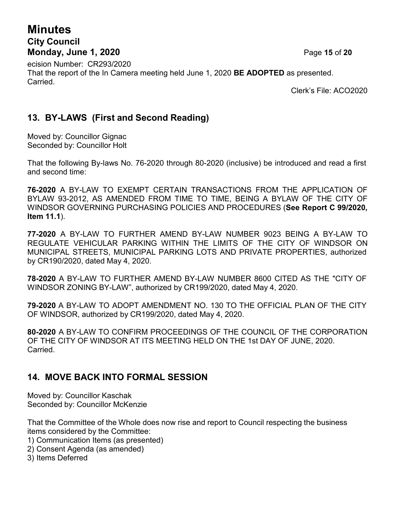# **Minutes City Council Monday, June 1, 2020** Page **15** of **20**

ecision Number: CR293/2020 That the report of the In Camera meeting held June 1, 2020 **BE ADOPTED** as presented. Carried.

Clerk's File: ACO2020

### **13. BY-LAWS (First and Second Reading)**

Moved by: Councillor Gignac Seconded by: Councillor Holt

That the following By-laws No. 76-2020 through 80-2020 (inclusive) be introduced and read a first and second time:

**76-2020** A BY-LAW TO EXEMPT CERTAIN TRANSACTIONS FROM THE APPLICATION OF BYLAW 93-2012, AS AMENDED FROM TIME TO TIME, BEING A BYLAW OF THE CITY OF WINDSOR GOVERNING PURCHASING POLICIES AND PROCEDURES (**See Report C 99/2020, Item 11.1**).

**77-2020** A BY-LAW TO FURTHER AMEND BY-LAW NUMBER 9023 BEING A BY-LAW TO REGULATE VEHICULAR PARKING WITHIN THE LIMITS OF THE CITY OF WINDSOR ON MUNICIPAL STREETS, MUNICIPAL PARKING LOTS AND PRIVATE PROPERTIES, authorized by CR190/2020, dated May 4, 2020.

**78-2020** A BY-LAW TO FURTHER AMEND BY-LAW NUMBER 8600 CITED AS THE "CITY OF WINDSOR ZONING BY-LAW", authorized by CR199/2020, dated May 4, 2020.

**79-2020** A BY-LAW TO ADOPT AMENDMENT NO. 130 TO THE OFFICIAL PLAN OF THE CITY OF WINDSOR, authorized by CR199/2020, dated May 4, 2020.

**80-2020** A BY-LAW TO CONFIRM PROCEEDINGS OF THE COUNCIL OF THE CORPORATION OF THE CITY OF WINDSOR AT ITS MEETING HELD ON THE 1st DAY OF JUNE, 2020. Carried.

### **14. MOVE BACK INTO FORMAL SESSION**

Moved by: Councillor Kaschak Seconded by: Councillor McKenzie

That the Committee of the Whole does now rise and report to Council respecting the business items considered by the Committee:

- 1) Communication Items (as presented)
- 2) Consent Agenda (as amended)
- 3) Items Deferred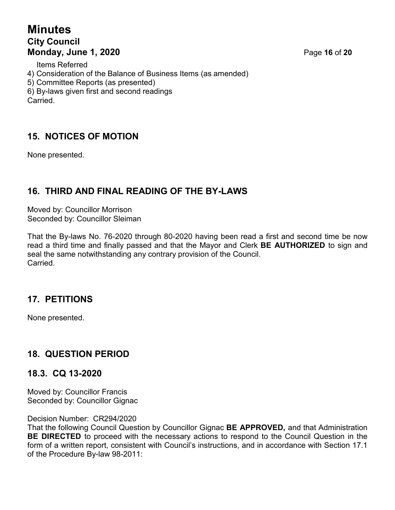# **Minutes City Council Monday, June 1, 2020** Page **16** of **20**

Items Referred

4) Consideration of the Balance of Business Items (as amended)

5) Committee Reports (as presented)

6) By-laws given first and second readings **Carried** 

## **15. NOTICES OF MOTION**

None presented.

## **16. THIRD AND FINAL READING OF THE BY-LAWS**

Moved by: Councillor Morrison Seconded by: Councillor Sleiman

That the By-laws No. 76-2020 through 80-2020 having been read a first and second time be now read a third time and finally passed and that the Mayor and Clerk **BE AUTHORIZED** to sign and seal the same notwithstanding any contrary provision of the Council. **Carried** 

### **17. PETITIONS**

None presented.

# **18. QUESTION PERIOD**

### **18.3. CQ 13-2020**

Moved by: Councillor Francis Seconded by: Councillor Gignac

Decision Number: CR294/2020

That the following Council Question by Councillor Gignac **BE APPROVED,** and that Administration **BE DIRECTED** to proceed with the necessary actions to respond to the Council Question in the form of a written report, consistent with Council's instructions, and in accordance with Section 17.1 of the Procedure By-law 98-2011: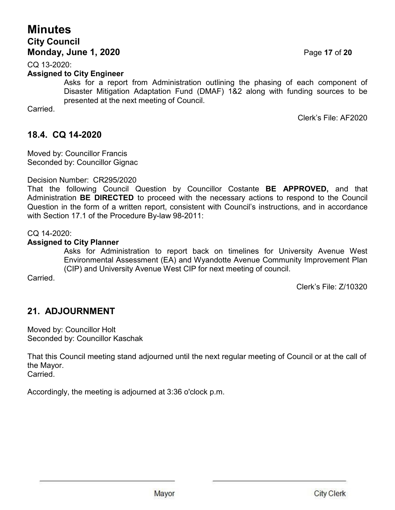# **Minutes City Council Monday, June 1, 2020** Page **17** of **20**

CQ 13-2020:

#### **Assigned to City Engineer**

Asks for a report from Administration outlining the phasing of each component of Disaster Mitigation Adaptation Fund (DMAF) 1&2 along with funding sources to be presented at the next meeting of Council.

Carried.

Clerk's File: AF2020

### **18.4. CQ 14-2020**

Moved by: Councillor Francis Seconded by: Councillor Gignac

#### Decision Number: CR295/2020

That the following Council Question by Councillor Costante **BE APPROVED,** and that Administration **BE DIRECTED** to proceed with the necessary actions to respond to the Council Question in the form of a written report, consistent with Council's instructions, and in accordance with Section 17.1 of the Procedure By-law 98-2011:

CQ 14-2020:

#### **Assigned to City Planner**

Asks for Administration to report back on timelines for University Avenue West Environmental Assessment (EA) and Wyandotte Avenue Community Improvement Plan (CIP) and University Avenue West CIP for next meeting of council.

Carried.

Clerk's File: Z/10320

### **21. ADJOURNMENT**

Moved by: Councillor Holt Seconded by: Councillor Kaschak

That this Council meeting stand adjourned until the next regular meeting of Council or at the call of the Mayor. **Carried** 

Accordingly, the meeting is adjourned at 3:36 o'clock p.m.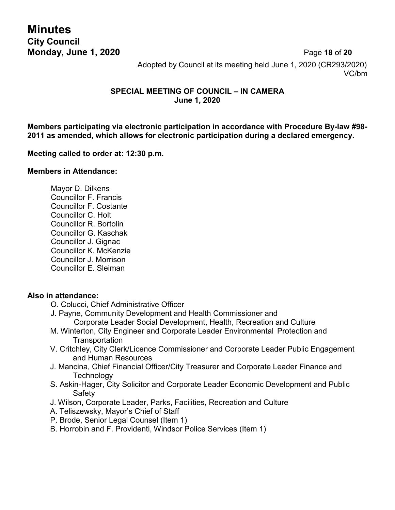**Minutes City Council**

**Monday, June 1, 2020** Page **18** of **20** Adopted by Council at its meeting held June 1, 2020 (CR293/2020) VC/bm

#### **SPECIAL MEETING OF COUNCIL – IN CAMERA June 1, 2020**

**Members participating via electronic participation in accordance with Procedure By-law #98- 2011 as amended, which allows for electronic participation during a declared emergency.**

#### **Meeting called to order at: 12:30 p.m.**

#### **Members in Attendance:**

Mayor D. Dilkens Councillor F. Francis Councillor F. Costante Councillor C. Holt Councillor R. Bortolin Councillor G. Kaschak Councillor J. Gignac Councillor K. McKenzie Councillor J. Morrison Councillor E. Sleiman

#### **Also in attendance:**

- O. Colucci, Chief Administrative Officer
- J. Payne, Community Development and Health Commissioner and Corporate Leader Social Development, Health, Recreation and Culture
- M. Winterton, City Engineer and Corporate Leader Environmental Protection and **Transportation**
- V. Critchley, City Clerk/Licence Commissioner and Corporate Leader Public Engagement and Human Resources
- J. Mancina, Chief Financial Officer/City Treasurer and Corporate Leader Finance and **Technology**
- S. Askin-Hager, City Solicitor and Corporate Leader Economic Development and Public Safety
- J. Wilson, Corporate Leader, Parks, Facilities, Recreation and Culture
- A. Teliszewsky, Mayor's Chief of Staff
- P. Brode, Senior Legal Counsel (Item 1)
- B. Horrobin and F. Providenti, Windsor Police Services (Item 1)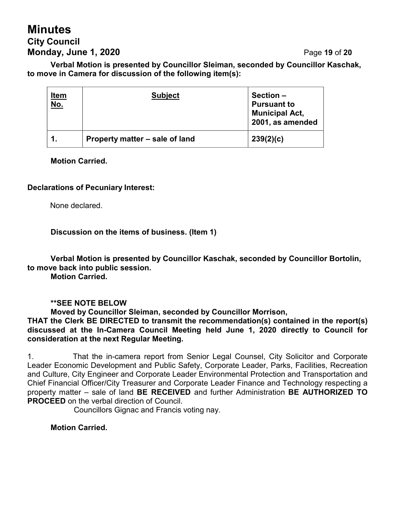# **Minutes City Council Monday, June 1, 2020** Page **19** of **20**

**Verbal Motion is presented by Councillor Sleiman, seconded by Councillor Kaschak, to move in Camera for discussion of the following item(s):**

| <u>Item</u><br><u>No.</u> | <b>Subject</b>                 | Section-<br><b>Pursuant to</b><br><b>Municipal Act,</b><br>2001, as amended |
|---------------------------|--------------------------------|-----------------------------------------------------------------------------|
|                           | Property matter – sale of land | 239(2)(c)                                                                   |

**Motion Carried.**

#### **Declarations of Pecuniary Interest:**

None declared.

**Discussion on the items of business. (Item 1)**

**Verbal Motion is presented by Councillor Kaschak, seconded by Councillor Bortolin, to move back into public session.**

**Motion Carried.**

#### **\*\*SEE NOTE BELOW**

**Moved by Councillor Sleiman, seconded by Councillor Morrison,**

**THAT the Clerk BE DIRECTED to transmit the recommendation(s) contained in the report(s) discussed at the In-Camera Council Meeting held June 1, 2020 directly to Council for consideration at the next Regular Meeting.**

1. That the in-camera report from Senior Legal Counsel, City Solicitor and Corporate Leader Economic Development and Public Safety, Corporate Leader, Parks, Facilities, Recreation and Culture, City Engineer and Corporate Leader Environmental Protection and Transportation and Chief Financial Officer/City Treasurer and Corporate Leader Finance and Technology respecting a property matter – sale of land **BE RECEIVED** and further Administration **BE AUTHORIZED TO PROCEED** on the verbal direction of Council.

Councillors Gignac and Francis voting nay.

**Motion Carried.**